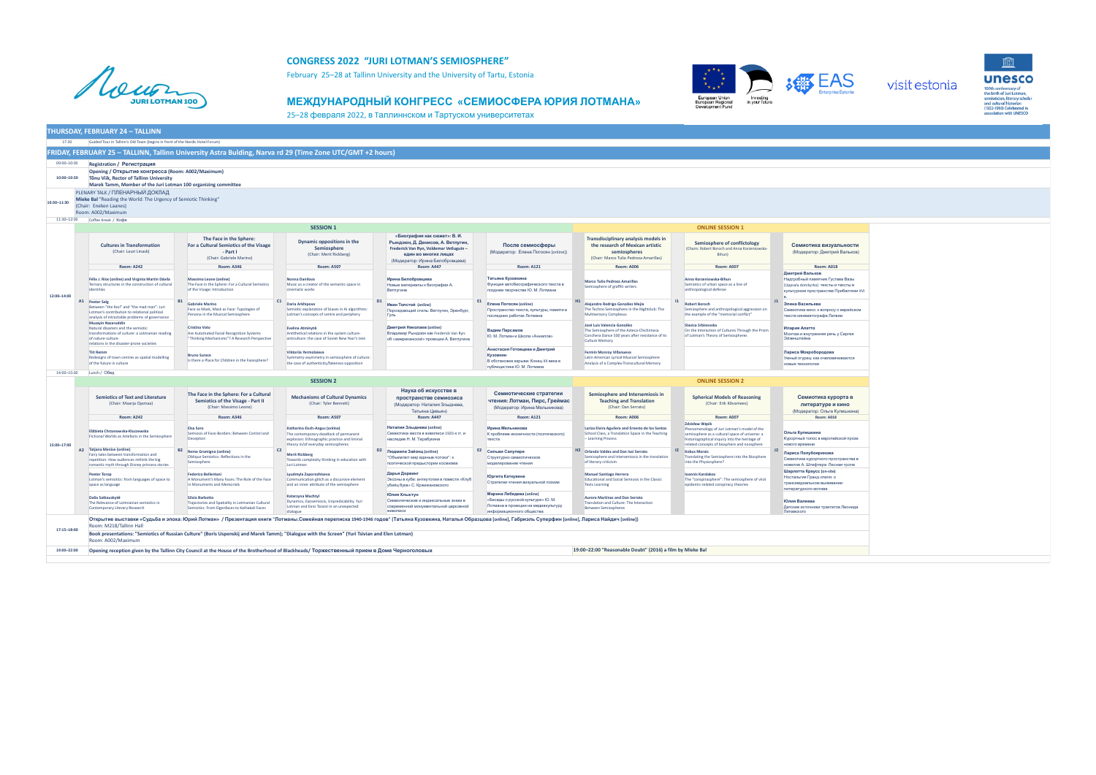

## **CONGRESS 2022 "JURI LOTMAN'S SEMIOSPHERE"**

February 25–28 at Tallinn University and the University of Tartu, Estonia

## **МЕЖДУНАРОДНЫЙ КОНГРЕСС «СЕМИОСФЕРА ЮРИЯ ЛОТМАНА»**



25–28 февраля 2022, в Tаллиннском и Тартуском университетах

|                            | <b>THURSDAY, FEBRUARY 24 - TALLINN</b>                                                                                                                                                              |                                                                                                                                                                                                                      |                                                                                                                                                                |                                                                                                                                                                        |                                                                                                                                  |                                                                                                                                                      |                                                                                                                                                                                                |                                                                                                                                        |  |  |  |
|----------------------------|-----------------------------------------------------------------------------------------------------------------------------------------------------------------------------------------------------|----------------------------------------------------------------------------------------------------------------------------------------------------------------------------------------------------------------------|----------------------------------------------------------------------------------------------------------------------------------------------------------------|------------------------------------------------------------------------------------------------------------------------------------------------------------------------|----------------------------------------------------------------------------------------------------------------------------------|------------------------------------------------------------------------------------------------------------------------------------------------------|------------------------------------------------------------------------------------------------------------------------------------------------------------------------------------------------|----------------------------------------------------------------------------------------------------------------------------------------|--|--|--|
| 17:30                      | Guided Tour in Tallinn's Old Town (begins in front of the Nordic Hotel Forum)                                                                                                                       |                                                                                                                                                                                                                      |                                                                                                                                                                |                                                                                                                                                                        |                                                                                                                                  |                                                                                                                                                      |                                                                                                                                                                                                |                                                                                                                                        |  |  |  |
|                            |                                                                                                                                                                                                     | FRIDAY, FEBRUARY 25 - TALLINN, Tallinn University Astra Bulding, Narva rd 29 (Time Zone UTC/GMT +2 hours)                                                                                                            |                                                                                                                                                                |                                                                                                                                                                        |                                                                                                                                  |                                                                                                                                                      |                                                                                                                                                                                                |                                                                                                                                        |  |  |  |
| 09:00-10:00<br>10:00-10:30 | <b>Registration / Регистрация</b><br>Opening / Открытие конгресса (Room: A002/Maximum)<br>Tõnu Viik, Rector of Tallinn University<br>Marek Tamm, Member of the Juri Lotman 100 organizing committee |                                                                                                                                                                                                                      |                                                                                                                                                                |                                                                                                                                                                        |                                                                                                                                  |                                                                                                                                                      |                                                                                                                                                                                                |                                                                                                                                        |  |  |  |
| 10:30-11:30                | <b>PLENARY TALK / ПЛЕНАРНЫЙ ДОКЛАД</b><br>Mieke Bal "Reading the World: The Urgency of Semiotic Thinking"<br>(Chair: Eneken Laanes)<br>Room: A002/Maximum                                           |                                                                                                                                                                                                                      |                                                                                                                                                                |                                                                                                                                                                        |                                                                                                                                  |                                                                                                                                                      |                                                                                                                                                                                                |                                                                                                                                        |  |  |  |
|                            | 11:30-12:00 Coffee break / Koфe                                                                                                                                                                     |                                                                                                                                                                                                                      |                                                                                                                                                                |                                                                                                                                                                        |                                                                                                                                  |                                                                                                                                                      |                                                                                                                                                                                                |                                                                                                                                        |  |  |  |
|                            | <b>SESSION 1</b><br><b>ONLINE SESSION 1</b>                                                                                                                                                         |                                                                                                                                                                                                                      |                                                                                                                                                                |                                                                                                                                                                        |                                                                                                                                  |                                                                                                                                                      |                                                                                                                                                                                                |                                                                                                                                        |  |  |  |
|                            | <b>Cultures in Transformation</b><br>(Chair: Lauri Linask)                                                                                                                                          | The Face in the Sphere:<br>For a Cultural Semiotics of the Visage<br>- Part I<br>(Chair: Gabriele Marino)                                                                                                            | Dynamic oppositions in the<br>Semiosphere<br>(Chair: Merit Rickberg)                                                                                           | «Биография как сюжет»: В. И.<br>Рындзюн, Д. Денисов, А. Ветлугин,<br>Frederick Van Ryn, Voldemar Vetluguin-<br>един во многих лицах<br>(Модератор: Ирина Белобровцева) | После семиосферы<br>(Модератор: Елена Погосян [online])                                                                          | Transdisciplinary analysis models in<br>the research of Mexican artistic<br>semiospheres<br>(Chair: Marco Tulio Pedroza Amarillas)                   | Semiosphere of conflictology<br>(Chairs: Robert Boroch and Anna Korzeniowska-<br><b>Bihun</b>                                                                                                  | Семиотика визуальности<br>(Модератор: Дмитрий Вальков)                                                                                 |  |  |  |
|                            | <b>Room: A242</b>                                                                                                                                                                                   | <b>Room: A346</b>                                                                                                                                                                                                    | <b>Room: A507</b>                                                                                                                                              | <b>Room: A447</b>                                                                                                                                                      | <b>Room: A121</b>                                                                                                                | <b>Room: A006</b>                                                                                                                                    | <b>Room: A007</b>                                                                                                                                                                              | <b>Room: A018</b>                                                                                                                      |  |  |  |
| 12:00-14:00                | Félix J. Ríos (online) and Virginia Martín Dávila<br>Ternary structures in the construction of cultural<br>identities                                                                               | Massimo Leone (online)<br>The Face in the Sphere: For a Cultural Semiotics<br>of the Visage: Introduction                                                                                                            | Nonna Danilova<br>Music as a creator of the semantic space in<br>cinematic works                                                                               | Ирина Белобровцева<br>Новые материалы к биографии А.<br>Ветлугина                                                                                                      | Татьяна Кузовкина<br>Функция автобиографического текста в<br>позднем творчестве Ю. М. Лотмана                                    | <b>Marco Tulio Pedroza Amarillas</b><br>Semiosphere of graffiti writers                                                                              | Anna Korzeniowska-Bihun<br>Semiotics of urban space as a line of<br>anthropological defense                                                                                                    | Дмитрий Вальков<br>Надгробный памятник Густава Вазы<br>(Uppsala domkyrka): тексты и тексты в<br>культурном пространстве Прибалтики XVI |  |  |  |
|                            | A1 Peeter Selg<br>Between "the fool" and "the mad man": Juri<br>Lotman's contribution to relational political<br>analysis of intractable problems of governance                                     | Gabriele Marino<br>Face as Mask, Mask as Face: Typologies of<br>Persona in the Musical Semiosphere                                                                                                                   | C1<br>Daria Arkhipova<br>Semiotic explanation of biases in AI algorithms:<br>Lotman's concepts of centre and periphery                                         | Иван Толстой (online)<br>Порождающий стиль: Ветлугин, Эренбург,<br>Гуль                                                                                                | E1<br>Елена Погосян (online)<br>Пространство текста, культуры, памяти в<br>последних работах Лотмана                             | Alejandro Rodrigo González Mejía<br>The Techno Semiosphere in the Nightclub: The<br><b>Multisensory Complexus</b>                                    | <b>Robert Boroch</b><br>Semiosphere and anthropological aggression on<br>the example of the "memorial conflict"                                                                                | J1<br>Элина Васильева<br>Семиотика кино: к вопросу о еврейском<br>тексте кинематографа Латвии                                          |  |  |  |
|                            | <b>Muzayin Nazaruddin</b><br>Natural disasters and the semiotic<br>transformations of culture: a Lotmanian reading<br>of nature-culture<br>relations in the disaster-prone societies                | <b>Cristina Voto</b><br>Are Automated Facial Recognition Systems<br>"Thinking Mechanisms"? A Research Perspective                                                                                                    | Evelina Atminytė<br>Antithetical relations in the system culture-<br>anticulture: the case of Soviet New Year's tree                                           | Дмитрий Николаев (online)<br>Владимир Рындзюн как Frederick Van Ryn:<br>об «американской» проекции А. Ветлугина                                                        | Вадим Парсамов<br>Ю. М. Лотман и Школа «Анналов»                                                                                 | José Luis Valencia González<br>The Semiosphere of the Azteca-Chichimeca<br>Conchera Dance 500 years after resistance of its<br><b>Culture Memory</b> | Slavica Srbinovska<br>On the Interaction of Cultures Through the Prism<br>of Lotman's Theory of Semiospheres                                                                                   | Илария Алетто<br>Монтаж и внутренняя речь у Сергея<br>Эйзенштейна                                                                      |  |  |  |
|                            | <b>Tijt Remm</b><br>Redesigns of town centres as spatial modelling<br>of the future in culture                                                                                                      | <b>Bruno Surace</b><br>Is there a Place for Children in the Facesphere?                                                                                                                                              | Viktorija Yermolajeva<br>Symmetry-asymmetry in semiosphere of culture:<br>the case of authenticity/fakeness opposition                                         |                                                                                                                                                                        | Анастасия Готовцева и Дмитрий<br><b>Кузовкин</b><br>В обстановке взрыва: Конец XX века в<br>публицистике Ю. М. Лотмана           | Fermín Monroy Villanueva<br>Latin American Lyrical-Musical Semiosphere<br>Analysis of a Complex-Transcultural Memory                                 |                                                                                                                                                                                                | Лариса Мокробородова<br>Умный огурец: как очеловечиваются<br>новые технологии                                                          |  |  |  |
| 14:00-15:00                | Lunch / Обед                                                                                                                                                                                        |                                                                                                                                                                                                                      |                                                                                                                                                                |                                                                                                                                                                        |                                                                                                                                  |                                                                                                                                                      |                                                                                                                                                                                                |                                                                                                                                        |  |  |  |
|                            |                                                                                                                                                                                                     | <b>SESSION 2</b><br><b>ONLINE SESSION 2</b>                                                                                                                                                                          |                                                                                                                                                                |                                                                                                                                                                        |                                                                                                                                  |                                                                                                                                                      |                                                                                                                                                                                                |                                                                                                                                        |  |  |  |
|                            | <b>Semiotics of Text and Literature</b><br>(Chair: Maarja Ojamaa)                                                                                                                                   | The Face in the Sphere: For a Cultural<br>Semiotics of the Visage - Part II<br>(Chair: Massimo Leone)                                                                                                                | <b>Mechanisms of Cultural Dynamics</b><br>(Chair: Tyler Bennett)                                                                                               | Наука об искусстве в<br>пространстве семиозиса<br>(Модератор: Наталия Злыднева,<br>Татьяна Цивьян)                                                                     | Семиотические стратегии<br>чтения: Лотман, Пирс, Греймас<br>(Модератор: Ирина Мельникова)                                        | Semiosphere and Intersemiosis in<br><b>Teaching and Translation</b><br>(Chair: Dan Serrato)                                                          | <b>Spherical Models of Reasoning</b><br>(Chair: Erik Kővamees)                                                                                                                                 | Семиотика курорта в<br>литературе и кино<br>(Модератор: Ольга Кулишкина)                                                               |  |  |  |
|                            | <b>Room: A242</b>                                                                                                                                                                                   | <b>Room: A346</b>                                                                                                                                                                                                    | <b>Room: A507</b>                                                                                                                                              | <b>Room: A447</b>                                                                                                                                                      | <b>Room: A121</b>                                                                                                                | <b>Room: A006</b>                                                                                                                                    | <b>Room: A007</b><br><b>Zdzisław Wasik</b>                                                                                                                                                     | <b>Room: A018</b>                                                                                                                      |  |  |  |
| 15:00-17:00                | Elżbieta Chrzanowska-Kluczewska<br>Fictional Worlds as Artefacts in the Semiosphere                                                                                                                 | <b>Elsa Soro</b><br>Semiosis of Face-Borders: Between Control and<br>Deception                                                                                                                                       | Katharina Eisch-Angus (online)<br>The contemporary deadlock of permanent<br>explosion: Ethnographic practice and liminal<br>theory in/of everyday semiospheres | Наталия Злыднева (online)<br>Семиотика жеста в живописи 1920-х гг. и<br>наследие Н. М. Тарабукина                                                                      | Ирина Мельникова<br>К проблеме иконичности (поэтического)<br>текста                                                              | Lariza Elvira Aguilera and Ernesto de los Santos<br>School Class, a Translation Space in the Teaching<br>- Learning Process                          | Phenomenology of Juri Lotman's model of the<br>semiosphere as a cultural space of universe: a<br>historiographical inquiry into the heritage of<br>related concepts of biosphere and noosphere | Ольга Кулишкина<br>Курортный топос в европейской прозе<br>нового времени                                                               |  |  |  |
|                            | A2 Tatjana Menise (online)<br>Fairy tales between transformation and<br>repetition: How audiences rethink the big<br>romantic myth through Disney princess stories                                  | <b>B2</b> Remo Gramigna (online)<br>Oblique Semiotics: Reflections in the<br>Semiosphere                                                                                                                             | C <sub>2</sub><br><b>Merit Rickberg</b><br>Towards complexity thinking in education with<br>Juri Lotman                                                        | D <sub>2</sub> Людмила Зайонц (online)<br>"Объемлют мир единые потоки": к<br>поэтической предыстории космизма                                                          | <b>E2</b> Сильви Салупере<br>Структурно-семиотическое<br>моделирование чтения                                                    | H <sub>2</sub> Orlando Valdez and Dan Isai Serrato<br>Semiosphere and intersemiosis in the translation<br>of literary criticism                      | <b>Kobus Marais</b><br>Translating the Semiosphere into the Biosphere<br>into the Physiosphere?                                                                                                | Лариса Полубояринова<br>Семиотика курортного пространства в<br>новелле А. Штифтера Лесная тропа                                        |  |  |  |
|                            | <b>Peeter Torop</b><br>Lotman's semiotics: from languages of space to<br>space as language                                                                                                          | <b>Federico Bellentani</b><br>A Monument's Many Faces: The Role of the Face<br>in Monuments and Memorials                                                                                                            | Lyudmyla Zaporozhtseva<br>Communication glitch as a discursive element<br>and an inner attribute of the semiosphere                                            | Дарья Дорвинг<br>Эксоны в кубе: антиутопии в повести «Клуб<br>убийц букв» С. Кржижановского                                                                            | Юргита Каткувене<br>Стратегии чтения визуальной поэзии                                                                           | <b>Manuel Santiago Herrera</b><br>Educational and Social Semiosis in the Classic<br><b>Texts Learning</b>                                            | <b>Ioannis Karalakos</b><br>The "conspirasphere": The semiosphere of viral<br>epidemic-related conspiracy theories                                                                             | Шарлотта Краусс (on-site)<br>Ностальгия Гранд-отеля: о<br>трансмедиальном выживании<br>литературного мотива                            |  |  |  |
|                            | Dalia Satkauskytė<br>The Relevance of Lotmianian semiotics in<br>Contemporary Literary Research                                                                                                     | Silvia Barbotto<br>Trajectories and Spatiality in Lotmanian Cultural<br>Semiotics: From Eigenfaces to Kathakali Faces                                                                                                | Katarzyna Machtyl<br>Dynamics, Exosemiosis, Unpredicability, Yuri<br>Lotman and Eero Tarasti in an unexpected<br>dialogue                                      | Юлия Хлыстун<br>Символические и индексальные знаки в<br>современной монументальной церковной<br>ЖИВОПИСИ                                                               | Марина Лебедева (online)<br>«Беседы о русской культуре» Ю. М.<br>Лотмана в проекции на медиакультуру<br>информационного общества | <b>Aurora Martínez and Dan Serrato</b><br>Translation and Culture: The Interaction<br><b>Between Semiospheres</b>                                    |                                                                                                                                                                                                | Юлия Валиева<br>Детские источники трактатов Леонида<br>Липавского                                                                      |  |  |  |
| 17:15-18:00                | Room: M218/Tallinn Hall                                                                                                                                                                             | Открытие выставки «Судьба и эпоха: Юрий Лотман» / Презентация книги "Лотманы.Семейная переписка 1940-1946 годов" (Татьяна Кузовкина, Наталья Образцова [online], Габриэль Суперфин [online], Париса Найдич [online]) |                                                                                                                                                                |                                                                                                                                                                        |                                                                                                                                  |                                                                                                                                                      |                                                                                                                                                                                                |                                                                                                                                        |  |  |  |
|                            | Room: A002/Maximum                                                                                                                                                                                  | Book presentations: "Semiotics of Russian Culture" (Boris Uspenskij and Marek Tamm); "Dialogue with the Screen" (Yuri Tsivian and Elen Lotman)                                                                       |                                                                                                                                                                |                                                                                                                                                                        |                                                                                                                                  |                                                                                                                                                      |                                                                                                                                                                                                |                                                                                                                                        |  |  |  |
| 19:00-22:00                |                                                                                                                                                                                                     | Opening reception given by the Tallinn City Council at the House of the Brotherhood of Blackheads/ Торжественный прием в Доме Черноголовых                                                                           |                                                                                                                                                                |                                                                                                                                                                        |                                                                                                                                  | 19:00-22:00 "Reasonable Doubt" (2016) a film by Mieke Bal                                                                                            |                                                                                                                                                                                                |                                                                                                                                        |  |  |  |
|                            |                                                                                                                                                                                                     |                                                                                                                                                                                                                      |                                                                                                                                                                |                                                                                                                                                                        |                                                                                                                                  |                                                                                                                                                      |                                                                                                                                                                                                |                                                                                                                                        |  |  |  |







100th anniversary of<br>the birth of Juri Lotman,<br>semiotician, literary scholar<br>and cultural historian<br>(1922-1993) Celebrated in<br>association with UNESCO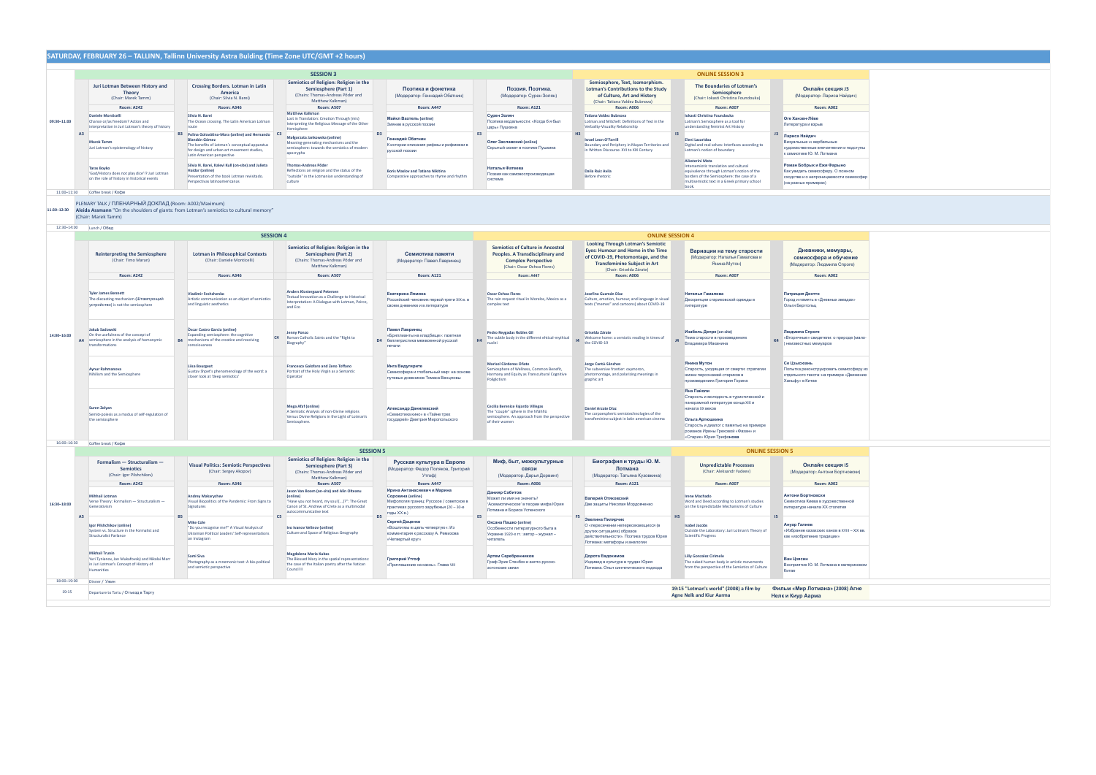|                               |                                                                                                                                 | SATURDAY, FEBRUARY 26 - TALLINN, Tallinn University Astra Bulding (Time Zone UTC/GMT +2 hours)                                                                                                       |                  |                                                                                                                                                      |                                                                                             |                                                                                                                        |                                                                                                                                           |                                                                                                                                           |                                                                                                                           |                                                                                                                                                                                                             |                                                                                                                                                                                                                                          |                                                                                                                                                                                                               |                 |                                                                                                                                 |
|-------------------------------|---------------------------------------------------------------------------------------------------------------------------------|------------------------------------------------------------------------------------------------------------------------------------------------------------------------------------------------------|------------------|------------------------------------------------------------------------------------------------------------------------------------------------------|---------------------------------------------------------------------------------------------|------------------------------------------------------------------------------------------------------------------------|-------------------------------------------------------------------------------------------------------------------------------------------|-------------------------------------------------------------------------------------------------------------------------------------------|---------------------------------------------------------------------------------------------------------------------------|-------------------------------------------------------------------------------------------------------------------------------------------------------------------------------------------------------------|------------------------------------------------------------------------------------------------------------------------------------------------------------------------------------------------------------------------------------------|---------------------------------------------------------------------------------------------------------------------------------------------------------------------------------------------------------------|-----------------|---------------------------------------------------------------------------------------------------------------------------------|
|                               |                                                                                                                                 |                                                                                                                                                                                                      |                  | <b>SESSION 3</b>                                                                                                                                     |                                                                                             |                                                                                                                        |                                                                                                                                           |                                                                                                                                           |                                                                                                                           |                                                                                                                                                                                                             |                                                                                                                                                                                                                                          | <b>ONLINE SESSION 3</b>                                                                                                                                                                                       |                 |                                                                                                                                 |
|                               | Juri Lotman Between History and<br><b>Theory</b><br>(Chair: Marek Tamm)                                                         | <b>Crossing Borders. Lotman in Latin</b><br>America<br>(Chair: Silvia N. Barei)                                                                                                                      |                  | Semiotics of Religion: Religion in the<br>Semiosphere (Part 1)<br>(Chairs: Thomas-Andreas Põder and<br>Matthew Kalkman)                              |                                                                                             | Поэтика и фонетика<br>(Модератор: Геннадий Обатнин)                                                                    |                                                                                                                                           | Поэзия. Поэтика.<br>(Модератор: Сурен Золян)                                                                                              |                                                                                                                           | Semiosphere, Text, Isomorphism.<br><b>Lotman's Contributions to the Study</b><br>of Culture, Art and History<br>(Chair: Tatiana Valdez Bubnova)                                                             |                                                                                                                                                                                                                                          | The Boundaries of Lotman's<br>Semiosphere<br>(Chair: Iokasti Christina Foundouka)                                                                                                                             |                 | Онлайн секция ЈЗ<br>(Модератор: Лариса Найдич)                                                                                  |
|                               | <b>Room: A242</b>                                                                                                               | <b>Room: A346</b>                                                                                                                                                                                    |                  | <b>Room: A507</b>                                                                                                                                    | <b>Room: A447</b>                                                                           |                                                                                                                        |                                                                                                                                           | <b>Room: A121</b>                                                                                                                         |                                                                                                                           | <b>Room: A006</b>                                                                                                                                                                                           |                                                                                                                                                                                                                                          | <b>Room: A007</b>                                                                                                                                                                                             |                 | <b>Room: A002</b>                                                                                                               |
| 09:30-11:00                   | <b>Daniele Monticelli</b><br>Chance or/as freedom? Action and<br>interpretation in Juri Lotman's theory of history              | Silvia N. Barei<br>The Ocean crossing. The Latin American Lotman<br>route                                                                                                                            |                  | <b>Matthew Kalkman</b><br>Lost in Translation: Creation Through (mis)<br>Interpreting the Religious Message of the Other<br>Hemisphere               | D <sub>3</sub>                                                                              | Майкл Вахтель (online)<br>Зияние в русской поэзии                                                                      | <b>E3</b>                                                                                                                                 | Сурен Золян<br>Поэтика модальности: «Когда б я был<br>царь» Пушкина                                                                       |                                                                                                                           | <b>Tatiana Valdez Bubnova</b><br>Lotman and Mitchell: Definitions of Text in the<br>Verbality-Visuality Relationship<br>H <sub>3</sub><br>$\overline{13}$                                                   | Iokasti Christina Foundouka<br>Lotman's Semiosphere as a tool for<br>understanding feminist Art History                                                                                                                                  | Оге Ханзен-Лёве<br>Литература и взрыв                                                                                                                                                                         |                 |                                                                                                                                 |
| A <sub>3</sub>                | <b>Marek Tamm</b><br>Juri Lotman's epistemology of history                                                                      | B3 Polina Golovátina-Mora (online) and Hernando<br><b>Blandón Gómez</b><br>The benefits of Lotman's conceptual apparatus<br>for design and urban art movement studies,<br>Latin American perspective |                  | Małgorzata Jankowska (online)<br>Meaning-generating mechanisms and the<br>semiosphere: towards the semiotics of modern<br>apocrypha                  |                                                                                             | Геннадий Обатнин<br>К истории описания рифмы и рифмовки в<br>русской поэзии                                            |                                                                                                                                           | Олег Заславский (online)<br>Скрытый сюжет в поэтике Пушкина                                                                               |                                                                                                                           | <b>Israel Leon O'Farrill</b><br>Boundary and Periphery in Mayan Territories and<br>in Written Discourse. XVI to XIX Century                                                                                 |                                                                                                                                                                                                                                          | <b>Eleni Lazaridou</b><br>Digital and real selves: Interfaces according to<br>Lotman's notion of boundary                                                                                                     | J3              | Лариса Найдич<br>Визуальные vs вербальные<br>художественные впечатления и подступы<br>к семиотике Ю. М. Лотмана                 |
|                               | <b>Taras Boyko</b><br>'God/History does not play dice'!? Juri Lotman<br>on the role of history in historical events             | Silvia N. Barei, Kalevi Kull (on-site) and Julieta<br>Haidar (online)<br>Presentation of the book Lotman revisitado.<br>Perspectivas latinoamericanas                                                |                  | <b>Thomas-Andreas Põder</b><br>Reflections on religion and the status of the<br>"outside" in the Lotmanian understanding of<br>culture               |                                                                                             | <b>Boris Maslov and Tatiana Nikitina</b><br>Comparative approaches to rhyme and rhythm                                 |                                                                                                                                           | Наталья Фатеева<br>Поэзия как самовоспроизводящая<br>система                                                                              |                                                                                                                           | Dalia Ruiz Avila<br><b>Before rhetoric</b>                                                                                                                                                                  |                                                                                                                                                                                                                                          | Aikaterini Mata<br>Intersemiotic translation and cultural<br>equivalence through Lotman's notion of the<br>borders of the Semiosphere: the case of a<br>multisemiotic text in a Greek primary school<br>book. |                 | Роман Бобрык и Ежи Фарыно<br>Как увидеть семиосферу. О ложном<br>сходстве и о непроницаемости семиосфер<br>(на разных примерах) |
| 11:00-11:30                   | Coffee break / Кофе                                                                                                             |                                                                                                                                                                                                      |                  |                                                                                                                                                      |                                                                                             |                                                                                                                        |                                                                                                                                           |                                                                                                                                           |                                                                                                                           |                                                                                                                                                                                                             |                                                                                                                                                                                                                                          |                                                                                                                                                                                                               |                 |                                                                                                                                 |
| 11:30-12:30                   | PLENARY TALK / ПЛЕНАРНЫЙ ДОКЛАД (Room: A002/Maximum)<br>(Chair: Marek Tamm)                                                     | Aleida Assmann "On the shoulders of giants: from Lotman's semiotics to cultural memory"                                                                                                              |                  |                                                                                                                                                      |                                                                                             |                                                                                                                        |                                                                                                                                           |                                                                                                                                           |                                                                                                                           |                                                                                                                                                                                                             |                                                                                                                                                                                                                                          |                                                                                                                                                                                                               |                 |                                                                                                                                 |
| 12:30-14:00                   | Lunch / Обед                                                                                                                    |                                                                                                                                                                                                      | <b>SESSION 4</b> |                                                                                                                                                      |                                                                                             |                                                                                                                        |                                                                                                                                           |                                                                                                                                           |                                                                                                                           | <b>ONLINE SESSION 4</b>                                                                                                                                                                                     |                                                                                                                                                                                                                                          |                                                                                                                                                                                                               |                 |                                                                                                                                 |
|                               | <b>Reinterpreting the Semiosphere</b><br>(Chair: Timo Maran)                                                                    | <b>Lotman in Philosophical Contexts</b><br>(Chair: Daniele Monticelli)                                                                                                                               |                  | Semiotics of Religion: Religion in the<br><b>Semiosphere (Part 2)</b><br>(Chairs: Thomas-Andreas Põder and<br>Matthew Kalkman)                       |                                                                                             | Семиотика памяти<br>(Модератор: Павел Лавринец)                                                                        |                                                                                                                                           | <b>Semiotics of Culture in Ancestral</b><br>Peoples. A Transdisciplinary and<br><b>Complex Perspective</b><br>(Chair: Oscar Ochoa Flores) |                                                                                                                           | <b>Looking Through Lotman's Semiotic</b><br>Eyes: Humour and Home in the Time<br>of COVID-19, Photomontage, and the<br><b>Transfeminine Subject in Art</b><br>(Chair: Griselda Zárate)<br><b>Room: A006</b> |                                                                                                                                                                                                                                          | Вариации на тему старости<br>(Модератор: Наталья Гамалова и<br>Янина Мутон)<br><b>Room: A007</b>                                                                                                              |                 | Дневники, мемуары,<br>семиосфера и обучение<br>(Модератор: Людмила Спроге)                                                      |
|                               | <b>Room: A242</b>                                                                                                               | <b>Room: A346</b>                                                                                                                                                                                    |                  | <b>Room: A507</b>                                                                                                                                    |                                                                                             | <b>Room: A121</b>                                                                                                      | <b>Room: A447</b>                                                                                                                         |                                                                                                                                           |                                                                                                                           |                                                                                                                                                                                                             |                                                                                                                                                                                                                                          |                                                                                                                                                                                                               |                 | <b>Room: A002</b>                                                                                                               |
|                               | <b>Tyler James Bennett</b><br>The diecasting mechanism (Штампующий<br>устройство) is not the semiosphere                        | <b>Vladimir Feshchenko</b><br>Artistic communication as an object of semiotics<br>and linguistic aesthetics                                                                                          |                  | <b>Anders Klostergaard Petersen</b><br>Textual Innovation as a Challenge to Historical<br>Interpretation: A Dialogue with Lotman, Peirce,<br>and Eco |                                                                                             | Екатерина Лямина<br>Российский чиновник первой трети XIX в. в<br>своем дневнике и в литературе                         |                                                                                                                                           | <b>Oscar Ochoa Flores</b><br>The rain request ritual in Morelos. Mexico as a<br>complex text                                              |                                                                                                                           | Josefina Guzmán Díaz<br>Culture, emotion, humour, and language in visual<br>texts ("memes" and cartoons) about COVID-19                                                                                     |                                                                                                                                                                                                                                          | Наталья Гамалова<br>Дескрипции стариковской одежды в<br>литературе                                                                                                                                            |                 | Патриция Деотто<br>Город и память в «Дневных звездах»<br>Ольги Берггольц                                                        |
| 14:00-16:00<br>AA             | <b>Jakub Sadowski</b><br>On the usefulness of the concept of<br>semiosphere in the analysis of homonymic<br>transformations     | Òscar Castro Garcia (online)<br>Expanding semiosphere: the cognitive<br><b>B4</b><br>mechanisms of the creative and receiving<br>consciousness                                                       | C4               | <b>Jenny Ponzo</b><br>Roman Catholic Saints and the "Right to<br>Biography"                                                                          |                                                                                             | Павел Лавринец<br>«Бриллианты на кладбище»: газетная<br><b>D4</b> беллетристика межвоенной русской<br>печати           |                                                                                                                                           | Pedro Reygadas Robles Gil<br>The subtle body in the different ehtical-mythical<br>nuclei                                                  |                                                                                                                           | Griselda Zárate<br>Welcome home: a semiotic reading in times of<br>the COVID-19                                                                                                                             |                                                                                                                                                                                                                                          | Изабель Депре (on-site)<br>Тема старости в произведениях<br>Владимира Маканина                                                                                                                                |                 | Людмила Спроге<br>«Вторичные» свидетели: о природе (мало-<br>неизвестных мемуаров                                               |
|                               | <b>Aynur Rahmanova</b><br>Nihilism and the Semiosphere                                                                          | <b>Liisa Bourgeot</b><br>Gustav Shpet's phenomenology of the word: a<br>closer look at 'deep semiotics'                                                                                              |                  | Francesco Galofaro and Zeno Toffano<br>Portrait of the Holy Virgin as a Semantic<br>Operator                                                         |                                                                                             | Инга Видугирите<br>Семиосфера и глобальный мир: на основе<br>путевых дневников Томаса Венцловы                         |                                                                                                                                           | Marisol Cárdenas Oñate<br>Semiosphere of Wellness, Common Benefit,<br>Harmony and Equity as Transcultural Cognitive<br>Poliglotism        |                                                                                                                           | Jorge Cantú-Sánchez<br>The subversive frontier: oxymoron,<br>photomontage, and polarizing meanings in<br>graphic art                                                                                        |                                                                                                                                                                                                                                          | Янина Мутон<br>Старость, уходящая от смерти: стратегии<br>жизни персонажей-стариков в<br>произведениях Григория Горина                                                                                        |                 | Се Цзысюань<br>Попытка реконструировать семиосферу из<br>отдельного текста: на примере «Движение<br>Ханьфу» в Китае             |
|                               | Suren Zolyan<br>SemiO-poiesis as a modus of self-regulation of<br>the semiosphere                                               |                                                                                                                                                                                                      |                  | <b>Mega Afaf (online)</b><br>A Semiotic Analysis of non-Divine religions<br>Versus Divine Religions in the Light of Lotman's<br>Semiosphere.         | Александр Данилевский<br>«Семиотика кино» в «Тайне трех<br>государей» Дмитрия Миропольского |                                                                                                                        | Cecilia Berenice Fajardo Villegas<br>The "couple" sphere in the hñähñü<br>semiosphere. An approach from the perspective<br>of their women |                                                                                                                                           | <b>Daniel Arzate Díaz</b><br>The corpoespheric semiotechnologies of the<br>transfeminine subject in latin american cinema |                                                                                                                                                                                                             | Яна Пайоли<br>Старость и молодость в туристической и<br>панорамной литературе конца XIX и<br>начала XX веков<br>Ольга Артюшкина<br>Старость и диалог с памятью на примере<br>романов Ирины Грековой «Фазан» и<br>«Старик» Юрия Трифонова |                                                                                                                                                                                                               |                 |                                                                                                                                 |
| 16:00-16:30                   | Coffee break / Кофе                                                                                                             |                                                                                                                                                                                                      |                  | <b>SESSION 5</b>                                                                                                                                     |                                                                                             |                                                                                                                        |                                                                                                                                           |                                                                                                                                           |                                                                                                                           |                                                                                                                                                                                                             |                                                                                                                                                                                                                                          | <b>ONLINE SESSION 5</b>                                                                                                                                                                                       |                 |                                                                                                                                 |
|                               | Formalism - Structuralism -<br><b>Semiotics</b>                                                                                 | <b>Visual Politics: Semiotic Perspectives</b><br>(Chair: Sergey Akopov)                                                                                                                              |                  | Semiotics of Religion: Religion in the<br>Semiosphere (Part 3)<br>(Chairs: Thomas-Andreas Põder and                                                  |                                                                                             | Русская культура в Европе<br>(Модератор: Федор Поляков, Григорий                                                       |                                                                                                                                           | Миф, быт, межкультурные<br>СВЯЗИ                                                                                                          |                                                                                                                           | Биография и труды Ю. М.<br>Лотмана                                                                                                                                                                          |                                                                                                                                                                                                                                          | <b>Unpredictable Processes</b><br>(Chair: Aleksandr Fadeev)                                                                                                                                                   |                 | Онлайн секция 15<br>(Модератор: Антони Бортновски)                                                                              |
|                               | (Chair: Igor Pilshchikov)                                                                                                       |                                                                                                                                                                                                      |                  | Matthew Kalkman)                                                                                                                                     |                                                                                             | Утгоф)                                                                                                                 |                                                                                                                                           | (Модератор: Дарья Дорвинг)                                                                                                                |                                                                                                                           | (Модератор: Татьяна Кузовкина)                                                                                                                                                                              |                                                                                                                                                                                                                                          |                                                                                                                                                                                                               |                 |                                                                                                                                 |
|                               | <b>Room: A242</b>                                                                                                               | <b>Room: A346</b>                                                                                                                                                                                    |                  | <b>Room: A507</b><br>Jason Van Boom (on-site) and Alin Olteanu                                                                                       |                                                                                             | <b>Room: A447</b><br>Ирина Антанасиевич и Марина                                                                       |                                                                                                                                           | <b>Room: A006</b><br>Данияр Сабитов                                                                                                       |                                                                                                                           | <b>Room: A121</b>                                                                                                                                                                                           |                                                                                                                                                                                                                                          | <b>Room: A007</b>                                                                                                                                                                                             |                 | <b>Room: A002</b>                                                                                                               |
| 16:30-18:00<br>A <sub>5</sub> | <b>Mihhail Lotman</b><br>Verse Theory: Formalism - Structuralism -<br>Generativism                                              | <b>Andrey Makarychev</b><br>Visual Biopolitics of the Pandemic: From Signs to<br>Signatures                                                                                                          | C5               | (online)<br>"Have you not heard, my soul []?": The Great<br>Canon of St. Andrew of Crete as a multimodal<br>autocommunicative text                   | D <sub>5</sub>                                                                              | Сорокина (online)<br>Мифология границ: Русское / советское в<br>практиках русского зарубежья (20 - 30-е<br>годы XX в.) |                                                                                                                                           | Может ли имя не значить?<br>'Асемиотическое' в теории мифа Юрия<br>Лотмана и Бориса Успенского                                            |                                                                                                                           | Валерий Отяковский<br>Две защиты Николая Мордовченко                                                                                                                                                        |                                                                                                                                                                                                                                          | <b>Irene Machado</b><br>Word and Deed according to Lotman's studies<br>on the Unpredictable Mechanisms of Culture                                                                                             | $\overline{15}$ | Антони Бортновски<br>Семиотика Киева в художественной<br>литературе начала XX столетия                                          |
|                               | Igor Pilshchikov (online)<br>System vs. Structure in the Formalist and<br><b>Structuralist Parlance</b>                         | <b>Mike Cole</b><br>"Do you recognise me?" A Visual Analysis of<br>Ukrainian Political Leaders' Self-representations<br>on Instagram                                                                 |                  | Ivo Ivanov Velinov (online)<br>Culture and Space of Religious Geography                                                                              |                                                                                             | Сергей Доценко<br>«Вошли мы в щель четвертую»: Из<br>комментария к рассказу А. Ремизова<br>«Четвертый круг»            | E5                                                                                                                                        | Оксана Пашко (online)<br>Особенности литературного быта в<br>Украине 1920-х гг.: автор - журнал -<br>читатель                             |                                                                                                                           | <b>F5</b> Эвелина Пилярчик<br>О «пересечении непересекающихся (в<br>других ситуациях) образов<br>действительности». Поэтика трудов Юрия<br>Лотмана: метафоры и аналогии                                     |                                                                                                                                                                                                                                          | <b>Isabel Jacobs</b><br>Outside the Laboratory: Juri Lotman's Theory of<br><b>Scientific Progress</b>                                                                                                         |                 | Ануар Галиев<br>«Избрание казахских ханов в XVIII - XIX вв.<br>как «изобретение традиции»                                       |
|                               | <b>Mikhail Trunin</b><br>Yuri Tynianov, Jan Mukařovský and Nikolai Marr<br>in Juri Lotman's Concept of History of<br>Humanities | Sami Siva<br>Photography as a mnemonic text: A bio-political<br>and semiotic perspective                                                                                                             |                  | <b>Magdalena Maria Kubas</b><br>The Blessed Mary in the spatial representations:<br>the case of the Italian poetry after the Vatican<br>Council II   |                                                                                             | Григорий Утгоф<br>«Приглашение на казнь». Глава VIII                                                                   |                                                                                                                                           | Артем Серебренников<br>Граф Эрик Стенбок и англо-русско-<br>эстонские связи                                                               |                                                                                                                           | Дорота Евдокимов<br>Индивид в культуре в трудах Юрия<br>Лотмана. Опыт синтетического подхода                                                                                                                |                                                                                                                                                                                                                                          | <b>Lilly Gonzalez Cirimele</b><br>The naked human body in artistic movements<br>from the perspective of the Semiotics of Culture                                                                              |                 | Ван Цзясин<br>Восприятие Ю. М. Лотмана в материковом<br>Китае                                                                   |
| 18:00-19:00                   | Dinner / Ужин                                                                                                                   |                                                                                                                                                                                                      |                  |                                                                                                                                                      |                                                                                             |                                                                                                                        |                                                                                                                                           |                                                                                                                                           |                                                                                                                           |                                                                                                                                                                                                             |                                                                                                                                                                                                                                          |                                                                                                                                                                                                               |                 |                                                                                                                                 |
| 19:15                         | Departure to Tartu / Отъезд в Тарту                                                                                             |                                                                                                                                                                                                      |                  |                                                                                                                                                      |                                                                                             |                                                                                                                        |                                                                                                                                           |                                                                                                                                           |                                                                                                                           |                                                                                                                                                                                                             | <b>Agne Nelk and Kiur Aarma</b>                                                                                                                                                                                                          | 19:15 "Lotman's world" (2008) a film by                                                                                                                                                                       |                 | Фильм «Мир Лотмана» (2008) Агне<br>Нелк и Киур Аарма                                                                            |

| Е Е RNДЯ                  |
|---------------------------|
| риса Найдич)              |
| 1002                      |
|                           |
|                           |
|                           |
| ные                       |
| тления и подступы<br>іана |
|                           |
| Фарыно<br>у. О ложном     |
| аемости семиосфер         |
|                           |
|                           |
|                           |
|                           |
|                           |
|                           |
|                           |
| емуары,                   |
| и обучение                |
| ила Спроге)               |
| 1002                      |
|                           |
| ных звездах»              |
|                           |
|                           |
|                           |
|                           |
| и: о природе (мало-<br>B  |
|                           |
|                           |
| вать семиосферу из        |
| римере «Движение          |
|                           |
|                           |
|                           |
|                           |
|                           |
|                           |
|                           |
|                           |
|                           |
| экция 15                  |
| ни Бортновски)            |
| 1002                      |
|                           |
| ожественной               |
| столетия                  |
|                           |
| анов в XVIII – XIX вв.    |
| «миµм                     |
|                           |
|                           |
| ана в материковом         |
|                           |
|                           |
| l» (2008) Агне            |
|                           |
|                           |

a sa kacamatan ing Kabupatèn Kabupatèn Kabupatèn Kabupatèn Kabupatèn Kabupatèn Kabupatèn Kabupatèn Kabupatèn K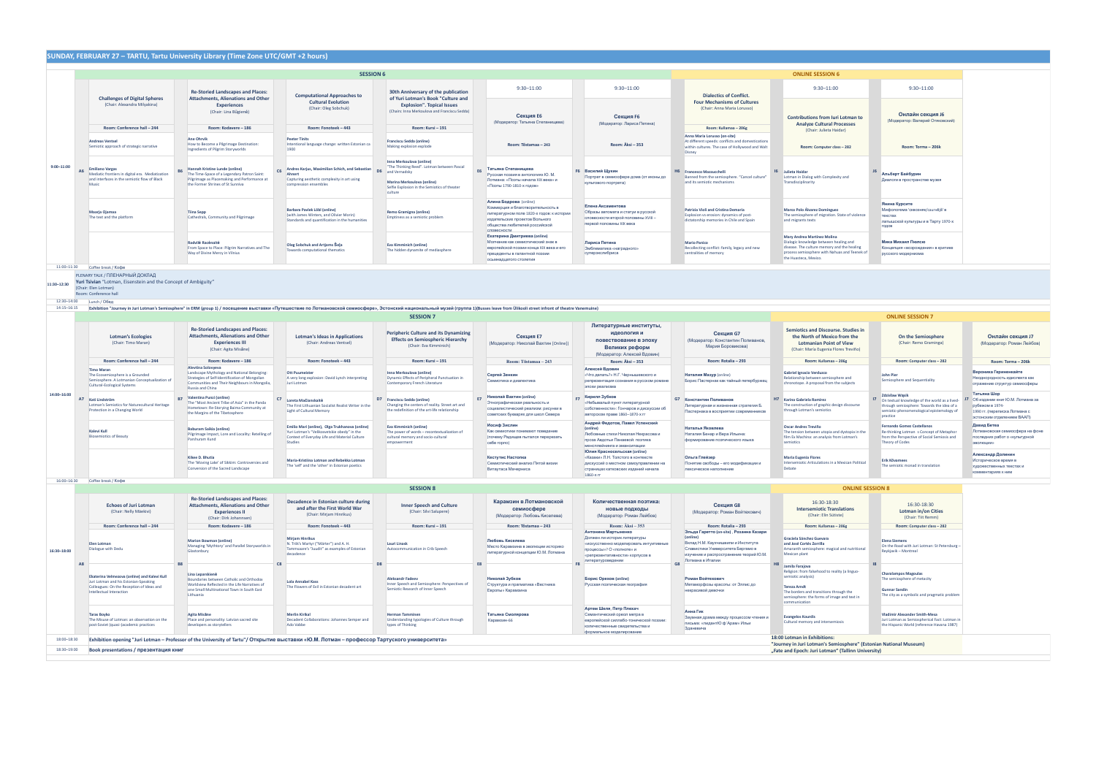|                                                                                                                                                                                                                               |                                                                                                                                                                                                                    | <b>SESSION 6</b>                                                                                                                                                                                             |                                                                                                                                                                                  |                                                                                                                                                                                            |                                                                                                                                                                |                                                                                                                                                | <b>ONLINE SESSION 6</b>                                                                                                                                                                                                   |                                                                                                                                                                                 |                                                                                                                                                      |  |  |  |  |
|-------------------------------------------------------------------------------------------------------------------------------------------------------------------------------------------------------------------------------|--------------------------------------------------------------------------------------------------------------------------------------------------------------------------------------------------------------------|--------------------------------------------------------------------------------------------------------------------------------------------------------------------------------------------------------------|----------------------------------------------------------------------------------------------------------------------------------------------------------------------------------|--------------------------------------------------------------------------------------------------------------------------------------------------------------------------------------------|----------------------------------------------------------------------------------------------------------------------------------------------------------------|------------------------------------------------------------------------------------------------------------------------------------------------|---------------------------------------------------------------------------------------------------------------------------------------------------------------------------------------------------------------------------|---------------------------------------------------------------------------------------------------------------------------------------------------------------------------------|------------------------------------------------------------------------------------------------------------------------------------------------------|--|--|--|--|
|                                                                                                                                                                                                                               | <b>Re-Storied Landscapes and Places:</b>                                                                                                                                                                           |                                                                                                                                                                                                              | 30th Anniversary of the publication                                                                                                                                              | $9:30 - 11:00$                                                                                                                                                                             | $9:30 - 11:00$                                                                                                                                                 |                                                                                                                                                | $9:30 - 11:00$                                                                                                                                                                                                            | $9:30 - 11:00$                                                                                                                                                                  |                                                                                                                                                      |  |  |  |  |
| (Chair: Alexandra Milvakina)<br>Room: Conference hall - 244                                                                                                                                                                   | <b>Experiences</b><br>(Chair: Lina Būgienė)<br>Room: Kodavere - 186                                                                                                                                                | <b>Cultural Evolution</b><br>(Chair: Oleg Sobchuk)<br>Room: Fonoteek - 443                                                                                                                                   | <b>Explosion". Topical Issues</b><br>(Chairs: Inna Merkoulova and Franciscu Sedda)<br>Room: Kursi - 191                                                                          | Секция Е6<br>(Модератор: Татьяна Степанищева)                                                                                                                                              | Секция F6<br>(Модератор: Лариса Петина)                                                                                                                        | <b>Four Mechanisms of Cultures</b><br>(Chair: Anna Maria Lorusso)<br>Room: Kullamaa - 206g                                                     | <b>Contributions from Iuri Lotman to</b><br><b>Analyze Cultural Processes</b>                                                                                                                                             | Онлайн секция Ј6<br>(Модератор: Валерий Отяковский)                                                                                                                             |                                                                                                                                                      |  |  |  |  |
| <b>Andreas Ventsel</b><br>Semiotic approach of strategic narrative                                                                                                                                                            | <b>Ane Ohrvik</b><br>How to Become a Pilgrimage Destination:<br>Ingredients of Pilgrim Storyworlds                                                                                                                 | <b>Peeter Tinits</b><br>Intentional language change: written Estonian ca<br>1900                                                                                                                             | <b>Franciscu Sedda (online)</b><br>Making explosion explode                                                                                                                      | Room: Tõstamaa - 243                                                                                                                                                                       | Room: Äksi - 353                                                                                                                                               | Anna Maria Lorusso (on-site)<br>At different speeds: conflicts and domestications<br>within cultures. The case of Hollywood and Walt<br>Disney | Room: Computer class - 282                                                                                                                                                                                                | Room: Torma - 206k                                                                                                                                                              |                                                                                                                                                      |  |  |  |  |
| <b>Emiliano Vargas</b><br>Mediatic frontiers in digital era. Mediatization<br>and interfaces in the semiotic flow of Black<br>Music                                                                                           | Hannah Kristine Lunde (online)<br>The Time-Space of a Legendary Patron Saint:<br>Pilgrimage as Placemaking and Performance at<br>the Former Shrines of St Sunniva                                                  | Ahnert<br>Capturing aesthetic complexity in art using<br>compression ensembles                                                                                                                               | Inna Merkoulova (online)<br>"The Thinking Reed". Lotman between Pascal<br>and Vernadsky<br>Marina Merkoulova (online)<br>Selfie Explosion in the Semiotics of theater<br>culture | Татьяна Степанищева<br>Русская поэзия в антологиях Ю. М.<br>Лотмана: «Поэты начала XIX века» и<br>«Поэты 1790-1810-х годов»                                                                | <b>F6</b> Василий Щукин<br>Портрет в семиосфере дома (от иконы до<br>культового портрета)                                                                      | Banned from the semiosphere. "Cancel culture"<br>and its semiotic mechanisms                                                                   | Julieta Haidar<br>Lotman in Dialog with Complexity and<br>Transdisciplinarity                                                                                                                                             | Альберт Байбурин<br>Диалоги в пространстве музея                                                                                                                                |                                                                                                                                                      |  |  |  |  |
| Maarja Ojamaa<br>The text and the platform                                                                                                                                                                                    | <b>Tiina Sepp</b><br>Cathedrals, Community and Pilgrimage                                                                                                                                                          | Barbara Pavlek Löbl (online)<br>(with James Winters, and Olivier Morin)<br>Standards and quantification in the humanities                                                                                    | Remo Gramigna (online)<br>Emptiness as a semiotic problem                                                                                                                        | Алина Бодрова (online)<br>Коммерция и благотворительность в<br>литературном поле 1820-х годов: к истории<br>издательских проектов Вольного<br>общества любителей российской<br>словесности | Елена Аксаментова<br>Образы автомата и статуи в русской<br>словесности второй половины XVIII -<br>первой половины XIX века                                     | Patrizia Violi and Cristina Demaria<br>Explosion vs erosion: dynamics of post-<br>dictatorship memories in Chile and Spain                     | Marco Polo Álvarez Domínguez<br>The semiosphere of migration. State of violence<br>and migrants texts                                                                                                                     | Янина Курсите<br>Мифологема 'сквозняк/caurvējš' в<br>текстах<br>латышской культуры и в Тарту 1970-х<br>годов                                                                    |                                                                                                                                                      |  |  |  |  |
|                                                                                                                                                                                                                               | Radvilė Racėnaitė<br>From Space to Place: Pilgrim Narratives and The<br>Way of Divine Mercy in Vilnius                                                                                                             |                                                                                                                                                                                                              | <b>Eva Kimminich (online)</b><br>The hidden dynamite of mediasphere                                                                                                              | Екатерина Дмитриева (online)<br>Молчание как семиотический знак в<br>европейской поэзии конца XIX века и его<br>прецеденты в галантной поэзии<br>осьмнадцатого столетия                    | Лариса Петина<br>Эмблематика «наградного»<br>суперэкслибриса                                                                                                   | <b>Mario Panico</b><br>Recollecting conflict: family, legacy and new<br>centralities of memory                                                 | Mary Andrea Martínez Molina<br>Dialogic knowledge between healing and<br>disease. The culture memory and the healing<br>the Huasteca, Mexico.                                                                             | Мика Михаил Пюлсю<br>Концепция «возрождения» в критике<br>русского модернизма                                                                                                   |                                                                                                                                                      |  |  |  |  |
| Coffee break / Koche                                                                                                                                                                                                          |                                                                                                                                                                                                                    |                                                                                                                                                                                                              |                                                                                                                                                                                  |                                                                                                                                                                                            |                                                                                                                                                                |                                                                                                                                                |                                                                                                                                                                                                                           |                                                                                                                                                                                 |                                                                                                                                                      |  |  |  |  |
|                                                                                                                                                                                                                               |                                                                                                                                                                                                                    |                                                                                                                                                                                                              |                                                                                                                                                                                  |                                                                                                                                                                                            |                                                                                                                                                                |                                                                                                                                                |                                                                                                                                                                                                                           |                                                                                                                                                                                 |                                                                                                                                                      |  |  |  |  |
| Lunch / Обед                                                                                                                                                                                                                  |                                                                                                                                                                                                                    |                                                                                                                                                                                                              |                                                                                                                                                                                  |                                                                                                                                                                                            |                                                                                                                                                                |                                                                                                                                                |                                                                                                                                                                                                                           |                                                                                                                                                                                 |                                                                                                                                                      |  |  |  |  |
| Exhibition "Journey in Juri Lotman's Semiosphere" in ERM (group 1) / посещение выставки «Путешествие по Лотмановской семиосфере», Эстонский национальный музей (группа 1)(Busses leave from Ülikooli street infront of theatr |                                                                                                                                                                                                                    |                                                                                                                                                                                                              |                                                                                                                                                                                  |                                                                                                                                                                                            |                                                                                                                                                                |                                                                                                                                                |                                                                                                                                                                                                                           |                                                                                                                                                                                 |                                                                                                                                                      |  |  |  |  |
|                                                                                                                                                                                                                               |                                                                                                                                                                                                                    |                                                                                                                                                                                                              |                                                                                                                                                                                  |                                                                                                                                                                                            | Литературные институты,                                                                                                                                        |                                                                                                                                                |                                                                                                                                                                                                                           |                                                                                                                                                                                 |                                                                                                                                                      |  |  |  |  |
| <b>Lotman's Ecologies</b><br>(Chair: Timo Maran)                                                                                                                                                                              | <b>Attachments, Alienations and Other</b><br><b>Experiences III</b><br>(Chair: Agita Misane)                                                                                                                       | <b>Lotman's Ideas in Applications</b><br>(Chair: Andreas Ventsel)                                                                                                                                            | <b>Peripheric Culture and its Dynamizing</b><br><b>Effects on Semiospheric Hierarchy</b><br>(Chair: Eva Kimminich)                                                               | Секция Е7<br>(Модератор: Николай Вахтин [Online])                                                                                                                                          | идеология и<br>повествование в эпоху<br>Великих реформ<br>(Модератор: Алексей Вдовин)                                                                          | <b>Секция G7</b><br>(Модератор: Константин Поливанов,<br>Мария Боровикова)                                                                     | the North of Mexico from the<br><b>Lotmanian Point of View</b><br>(Chair: María Eugenia Flores Treviño)                                                                                                                   | On the Semiosphere<br>(Chair: Remo Graminga)                                                                                                                                    | Онлайн секция Ј7<br>(Модератор: Роман Лейбов)                                                                                                        |  |  |  |  |
| Room: Conference hall - 244                                                                                                                                                                                                   | Room: Kodavere - 186                                                                                                                                                                                               | Room: Fonoteek - 443                                                                                                                                                                                         | Room: Kursi - 191                                                                                                                                                                | Room: Tõstamaa – 243                                                                                                                                                                       | Room: Äksi - 353                                                                                                                                               | Room: Rotalia - 293                                                                                                                            | Room: Kullamaa - 206g                                                                                                                                                                                                     | Room: Computer class - 282                                                                                                                                                      | Room: Torma - 206k                                                                                                                                   |  |  |  |  |
| The Ecosemiosphere is a Grounded<br>Semiosphere. A Lotmanian Conceptualization of<br><b>Cultural-Ecological Systems</b>                                                                                                       | Landscape Mythology and National Belonging:<br>Strategies of Self-Identification of Mongolian<br>Communities and Their Neighbours in Mongolia,<br><b>Russia and China</b>                                          | <b>Ott Puumeister</b><br>A very long explosion: David Lynch interpreting<br>Juri Lotman                                                                                                                      | Inna Merkoulova (online)<br>Dynamic Effects of Peripheral Punctuation in<br>Contemporary French Literature                                                                       | Сергей Зенкин<br>Семиотика и диалектика                                                                                                                                                    | «Что делать?» Н.Г. Чернышевского и<br>репрезентация сознания в русском романе<br>эпохи реализма                                                                | Наталия Мазур (online)<br>Борис Пастернак как тайный петербуржец                                                                               | <b>Gabriel Ignacio Verduzco</b><br>Relationship between semiosphere and<br>chronotope. A proposal from the subjects                                                                                                       | John Pier<br>Semiosphere and Sequentiality                                                                                                                                      | Вероника Гериненкайте<br>Неоднородность идиолекта как<br>отражение структур семиосферы                                                               |  |  |  |  |
| Lotman's Semiotics for Naturecultural Heritage<br>Protection in a Changing World                                                                                                                                              | The "Most Ancient Tribe of Asia" in the Panda<br>Hometown: Re-Storying Baima Community at<br>the Margins of the Tibetosphere                                                                                       | The First Lithuanian Socialist Realist Writer in the<br>Light of Cultural Memory                                                                                                                             | Changing the centers of reality. Street art and<br>the redefinition of the art-life relationship                                                                                 | Николай Вахтин (online)<br>E7<br>Этнографическая реальность и<br>социалистический реализм: рисунки в<br>советских букварях для школ Севера                                                 | Кирилл Зубков<br><b>F7</b><br>«Небывалый пункт литературной<br>собственности»: Гончаров и дискуссии об<br>авторском праве 1860-1870-х гг                       | Литературная и жизненная стратегия Б.<br>Пастернака в восприятии современников                                                                 | H7 Karina Gabriela Ramirez<br>The construction of graphic design discourse<br>through Lotman's semiotics                                                                                                                  | <b>Zdzisław Wąsik</b><br>7 On textual knowledge of the world as a lived-<br>through semiosphere: Towards the idea of a<br>semiotic-phenomenological epistemology of<br>practice | Татьяна Шор<br>Ј7 Об издании книг Ю.М. Лотмана за<br>рубежом в 1974-<br>1990 гг. (переписка Лотмана с<br>эстонским отделением ВААП)                  |  |  |  |  |
| Kalevi Kull<br><b>Biosemiotics of Beauty</b>                                                                                                                                                                                  | <b>Baburam Saikia (online)</b><br>Pilgrimage Impact, Lore and Locality: Retelling of<br>Parshuram Kund                                                                                                             | Emilio Mari (online), Olga Trukhanova (online)<br>Yuri Lotman's "Velikosvetskie obedy" in the<br>Context of Everyday Life and Material Culture<br>Studies                                                    | <b>Eva Kimminich (online)</b><br>The power of words - recontextualization of<br>cultural memory and socio-cultural<br>empowerment                                                | Иосиф Зислин<br>Как семиотики понимают поведение<br>(почему Радищев пытался перерезать<br>себе горло)                                                                                      | Андрей Федотов, Павел Успенский<br>(online)<br>Любовные стихи Николая Некрасова и<br>проза Авдотьи Панаевой: поэтика<br>менсплейнинга и эмансипации            | Наталья Яковлева<br>Наталия Бенар и Вера Ильина:<br>формирование поэтического языка                                                            | Oscar Andres Treviño<br>The tension between utopia and dystopia in the<br>film Ex Machina: an analysis from Lotman's<br>semiotics                                                                                         | Fernando Gomez Castellanos<br>Re-thinking Lotman s Concept of Metaphor<br>from the Perspective of Social Semiosis and<br><b>Theory of Codes</b>                                 | Давид Бетеа<br>Лотмановская семиосфера на фоне<br>последних работ о «культурной<br>эволюции»                                                         |  |  |  |  |
|                                                                                                                                                                                                                               | Kikee D. Bhutia<br>The 'Moving Lake' of Sikkim: Controversies and<br>Conversion of the Sacred Landscape                                                                                                            | Maria-Kristiina Lotman and Rebekka Lotman<br>The "self" and the "other" in Estonian poetics                                                                                                                  |                                                                                                                                                                                  | Кестутис Настопка<br>Семиотический анализ Пятой визии<br>Витаутаса Мачерниса                                                                                                               | «Казаки» Л.Н. Толстого в контексте<br>дискуссий о местном самоуправлении на<br>страницах катковских изданий начала<br>1860-X FF                                | Ольга Глейзер<br>Понятие свободы - его модификации и<br>пексическое наполнение                                                                 | <b>Maria Eugenia Flores</b><br>Intersemiotic Articulations in a Mexican Political<br>Debate                                                                                                                               | Erik Kõvamees<br>The semiotic monad in translation                                                                                                                              | Александр Долинин<br>Историческое время в<br>хуложественных текстах и<br>комментариях к ним                                                          |  |  |  |  |
|                                                                                                                                                                                                                               |                                                                                                                                                                                                                    |                                                                                                                                                                                                              | <b>SESSION 8</b>                                                                                                                                                                 |                                                                                                                                                                                            |                                                                                                                                                                |                                                                                                                                                |                                                                                                                                                                                                                           |                                                                                                                                                                                 |                                                                                                                                                      |  |  |  |  |
| <b>Echoes of Juri Lotman</b><br>(Chair: Nelly Mäekivi)                                                                                                                                                                        | <b>Re-Storied Landscapes and Places:</b><br><b>Attachments, Alienations and Other</b><br><b>Experiences II</b><br>(Chair: Dirk Johannsen)                                                                          | Decadence in Estonian culture during<br>and after the First World War<br>(Chair: Mirjam Hinrikus)                                                                                                            | <b>Inner Speech and Culture</b><br>(Chair: Silvi Salupere)                                                                                                                       | Карамзин в Лотмановской<br>семиосфере<br>(Модератор: Любовь Киселева)                                                                                                                      | Количественная поэтика:<br>новые подходы<br>(Модератор: Роман Лейбов)                                                                                          | <b>Секция G8</b><br>(Модератор: Роман Войтехович)                                                                                              | 16:30-18:30<br><b>Intersemiotic Translations</b><br>(Chair: Elin Sütiste)                                                                                                                                                 | 16:30-18:30<br><b>Lotman in/on Cities</b><br>(Chair: Tijt Remm)                                                                                                                 |                                                                                                                                                      |  |  |  |  |
| Room: Conference hall - 244                                                                                                                                                                                                   | Room: Kodavere - 186                                                                                                                                                                                               | Room: Fonoteek - 443                                                                                                                                                                                         | Room: Kursi - 191                                                                                                                                                                | Room: Tõstamaa - 243                                                                                                                                                                       | Room: $\ddot{A}$ ksi $-353$                                                                                                                                    | Room: Rotalia - 293                                                                                                                            | Room: Kullamaa - 206g                                                                                                                                                                                                     | Room: Computer class - 282                                                                                                                                                      |                                                                                                                                                      |  |  |  |  |
| Elen Lotman<br>Dialogue with Dedu                                                                                                                                                                                             | <b>Marion Bowman (online)</b><br>Managing 'Mythtory' and Parallel Storyworlds in<br>Glastonbury                                                                                                                    | <b>Mirjam Hinrikus</b><br>N. Triik's Martyr ("Märter") and A. H.<br>Tammsaare's "Juudit" as examples of Estonian<br>decadence                                                                                | <b>Lauri Linask</b><br>Autocommunication in Crib Speech                                                                                                                          | Любовь Киселева<br>Место Карамзина в эволюции историко<br>литературной концепции Ю.М. Лотмана                                                                                              | Должен ли историк литературы<br>«искусственно моделировать интуитивные<br>процессы»? О «полноте» и<br>«репрезентативности» корпусов в                          | (online)<br>Вклад Н.М. Каухчишвили и Института<br>Славистики Университета Бергамо в<br>изучение и распространение теорий Ю.М.                  | Graciela Sánchez Guevara<br>and José Cortés Zorrilla<br>Amaranth semiosphere: magical and nutritional<br>Mexican plant                                                                                                    | <b>Elena Siemens</b><br>On the Road with Juri Lotman: St Petersburg -<br>Reykjavik - Montreal                                                                                   |                                                                                                                                                      |  |  |  |  |
| Ekaterina Velmezova (online) and Kalevi Kull<br>Juri Lotman and his Estonian-Speaking<br>Colleagues: On the Reception of Ideas and<br>Intellectual Interaction                                                                | Lina Leparskienė<br>Boundaries between Catholic and Orthodox<br>Worldview Reflected in the Life Narratives of<br>one Small Multinational Town in South East<br>Lithuania                                           | <b>Lola Annabel Kass</b><br>The Flowers of Evil in Estonian decadent art                                                                                                                                     | <b>Aleksandr Fadeev</b><br>Inner Speech and Semiosphere: Perspectives of<br>Semiotic Research of Inner Speech                                                                    | Николай Зубков<br>Структура и прагматика «Вестника<br>Европы» Карамзина                                                                                                                    | <b>Борис Орехов (online)</b><br>Русская поэтическая география                                                                                                  | Роман Войтехович<br>Метаморфозы красоты: от Эллис до<br>некрасивой девочки                                                                     | Jamila Farajova<br>Religion: from falsehood to reality (a linguo-<br>semiotic analysis)<br><b>Tereza Arndt</b><br>The borders and transitions through the<br>semiosphere: the forms of image and text in<br>communication | <b>Charalampos Magoulas</b><br>The semiosphere of metacity<br><b>Gunnar Sandin</b><br>The city as a symbolic and pragmatic problem                                              |                                                                                                                                                      |  |  |  |  |
| <b>Taras Boyko</b><br>The Misuse of Lotman: an observation on the<br>post-Soviet (quasi-)academic practices                                                                                                                   | <b>Agita Misane</b><br>Place and personality: Latvian sacred site<br>developers as storytellers                                                                                                                    | <b>Merlin Kirikal</b><br>Decadent Collaborations: Johannes Semper and<br>Ado Vabbe                                                                                                                           | <b>Herman Tamminen</b><br>Understanding typologies of Culture through<br>types of Thinking                                                                                       | Татьяна Смолярова<br>Карамзин-66                                                                                                                                                           | Артем Шеля, Петр Плехач<br>Семантический ореол метра в<br>европейской силлабо-тонической поэзии:<br>количественные свидетельства и<br>формальное моделирование | Анна Гик<br>Заумная драма между процессом чтения и<br>письма: «лидантЮ ф`Арам» Ильи<br>Зданевича                                               | <b>Evangelos Kourdis</b><br>Cultural memory and intersemiosis                                                                                                                                                             | <b>Vladimir Alexander Smith-Mesa</b><br>the Hispanic World (reference Havana 1987)                                                                                              |                                                                                                                                                      |  |  |  |  |
|                                                                                                                                                                                                                               |                                                                                                                                                                                                                    |                                                                                                                                                                                                              |                                                                                                                                                                                  |                                                                                                                                                                                            |                                                                                                                                                                |                                                                                                                                                | 18:00 Lotman in Exhibitions:                                                                                                                                                                                              |                                                                                                                                                                                 |                                                                                                                                                      |  |  |  |  |
| 11:00-11:30<br>12:30-14:00                                                                                                                                                                                                    | <b>Challenges of Digital Spheres</b><br><b>A6</b><br><b>PLENARY TALK / ПЛЕНАРНЫЙ ДОКЛАД</b><br>Chair: Elen Lotman)<br>Room: Conference hall<br>Timo Maran<br>A7 Kati Lindström<br>16:00-16:30 Coffee break / Koche | <b>Attachments, Alienations and Other</b><br>Yuri Tsivian "Lotman, Eisenstein and the Concept of Ambiguity"<br><b>Re-Storied Landscapes and Places:</b><br>Alevtina Solovyeva<br>B7 Valentina Punzi (online) | <b>Computational Approaches to</b><br>Oleg Sobchuk and Artjoms Sela<br>Towards computational thematics<br>C7 Loreta Mačianskaitė<br>C8                                           | of Yuri Lotman's Book "Culture and<br>Andres Karjus, Maximilian Schich, and Sebastian D6<br><b>SESSION 7</b><br>D7 Franciscu Sedda (online)                                                |                                                                                                                                                                | Алексей Вдовин<br>Юлия Красносельская (online)<br>Антонина Мартыненко<br>литературоведении                                                     | <b>Dialectics of Conflict.</b><br>H6 Francesco Mazzucchelli<br><b>G7</b> Константин Поливанов<br>Эльда Гаретто (on-site), Розанна Казари<br>Лотмана в Италии<br>G <sub>8</sub>                                            | (Chair: Julieta Haidar)<br><b>Semiotics and Discourse. Studies in</b>                                                                                                           | process semiosphere with Nahuas and Teenek of<br><b>ONLINE SESSION 7</b><br><b>ONLINE SESSION 8</b><br>Juri Lotman as Semiospherical Fact: Lotman in |  |  |  |  |